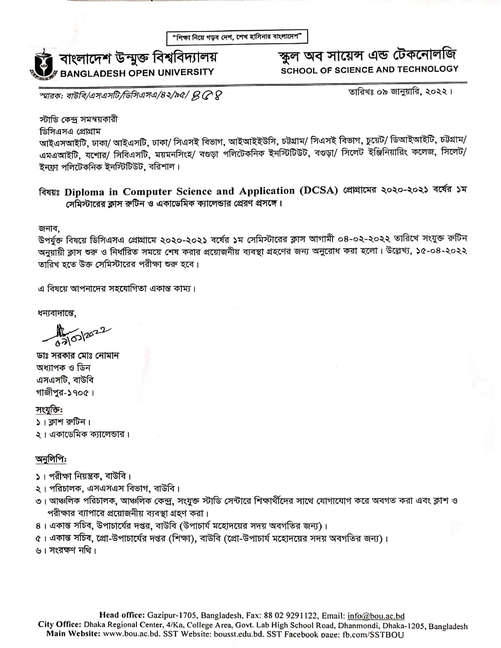

# স্কুল অব সায়েন্স এন্ড টেকনোলজি **SCHOOL OF SCIENCE AND TECHNOLOGY**

স্মারক: বাউবি/এসএসটি/ডিসিএসএ/৪২/৯৫/  $\beta$  (  $\alpha$   $\beta$ 

তারিখঃ ০৯ জানুয়ারি, ২০২২।

স্টাডি কেন্দ্ৰ সমন্বয়কারী

ডিসিএসএ প্রোগ্রাম

আইএসআইটি, ঢাকা/ আইএসটি, ঢাকা/ সিএসই বিভাগ, আইআইইউসি, চট্টগ্রাম/ সিএসই বিভাগ, চুয়েট/ ডিআইআইটি, চট্টগ্রাম/ এমএআইটি, যশোর/ সিবিএসটি, ময়মনসিংহ/ বগুড়া পলিটেকনিক ইনস্টিটিউট, বগুড়া/ সিলেট ইঞ্জিনিয়ারিং কলেজ, সিলেট/ ইনফ্রা পলিটেকনিক ইনস্টিটিউট. বরিশাল।

বিষয়ঃ Diploma in Computer Science and Application (DCSA) প্রোমামের ২০২০-২০২১ বর্ষের ১ম সেমিস্টারের ক্লাস রুটিন ও একাডেমিক ক্যালেন্ডার প্রেরণ প্রসঙ্গে।

জনাব,

উপর্যুক্ত বিষয়ে ডিসিএসএ প্রোগ্রামে ২০২০-২০২১ বর্ষের ১ম সেমিস্টারের ক্লাস আগামী ০৪-০২-২০২২ তারিখে সংযুক্ত রুটিন অনুয়ায়ী ক্লাস শুরু ও নির্ধারিত সময়ে শেষ করার প্রয়োজনীয় ব্যবস্থা গ্রহণের জন্য অনুরোধ করা হলো। উল্লেখ্য, ১৫-০৪-২০২২ তারিখ হতে উক্ত সেমিস্টারের পরীক্ষা শুরু হবে।

এ বিষয়ে আপনাদের সহযোগিতা একান্ত কাম্য।

ধন্যবাদান্তে.

03/03/2022

ডাঃ সরকার মোঃ নোমান অধ্যাপক ও ডিন এসএসটি, বাউবি গাজীপুর-১৭০৫।

সংযুক্তি:  $\frac{1}{2}$ । ক্লাশ রুটিন। ২। একাডেমিক ক্যালেভার।

#### অনুলিপি:

১। পরীক্ষা নিয়ন্ত্রক, বাউবি।

২। পরিচালক, এসএসএস বিভাগ, বাউবি।

- ৩। আঞ্চলিক পরিচালক, আঞ্চলিক কেন্দ্র, সংযুক্ত স্টাডি সেন্টারে শিক্ষার্থীদের সাথে যোগাযোগ করে অবগত করা এবং ক্লাশ ও পরীক্ষার ব্যাপারে প্রয়োজনীয় ব্যবস্থা গ্রহণ করা।
- ৪। একান্ত সচিব, উপাচার্যের দগুর, বাউবি (উপাচার্য মহোদয়ের সদয় অবগতির জন্য)।
- ৫। একান্ত সচিব, প্রো-উপাচার্যের দপ্তর (শিক্ষা), বাউবি (প্রো-উপাচার্য মহোদয়ের সদয় অবগতির জন্য)।

৬। সংরক্ষণ নথি।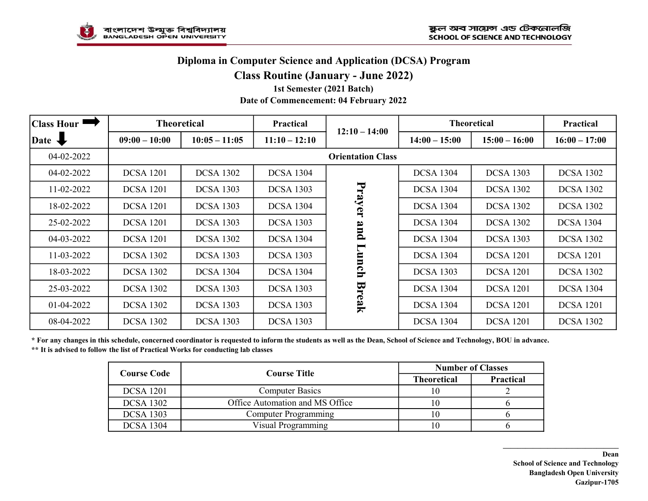# Diploma in Computer Science and Application (DCSA) Program

#### Class Routine (January - June 2022)

#### 1st Semester (2021 Batch) Date of Commencement: 04 February 2022

| <b>Class Hour</b> |                          | <b>Theoretical</b><br>Practical |                  |                                        | <b>Theoretical</b> |                  | Practical        |
|-------------------|--------------------------|---------------------------------|------------------|----------------------------------------|--------------------|------------------|------------------|
| Date <b>V</b>     | $09:00 - 10:00$          | $10:05 - 11:05$                 | $11:10 - 12:10$  | $12:10 - 14:00$                        | $14:00 - 15:00$    | $15:00 - 16:00$  | $16:00 - 17:00$  |
| 04-02-2022        | <b>Orientation Class</b> |                                 |                  |                                        |                    |                  |                  |
| 04-02-2022        | <b>DCSA 1201</b>         | <b>DCSA 1302</b>                | <b>DCSA 1304</b> | Prayer<br>pue<br>Lunch<br><b>Break</b> | <b>DCSA 1304</b>   | <b>DCSA 1303</b> | <b>DCSA 1302</b> |
| 11-02-2022        | <b>DCSA 1201</b>         | <b>DCSA 1303</b>                | <b>DCSA 1303</b> |                                        | <b>DCSA 1304</b>   | <b>DCSA 1302</b> | <b>DCSA 1302</b> |
| 18-02-2022        | <b>DCSA</b> 1201         | <b>DCSA 1303</b>                | <b>DCSA</b> 1304 |                                        | <b>DCSA 1304</b>   | <b>DCSA 1302</b> | <b>DCSA 1302</b> |
| 25-02-2022        | <b>DCSA 1201</b>         | <b>DCSA 1303</b>                | <b>DCSA 1303</b> |                                        | <b>DCSA 1304</b>   | <b>DCSA 1302</b> | <b>DCSA 1304</b> |
| 04-03-2022        | <b>DCSA 1201</b>         | <b>DCSA 1302</b>                | <b>DCSA</b> 1304 |                                        | <b>DCSA 1304</b>   | <b>DCSA 1303</b> | <b>DCSA 1302</b> |
| 11-03-2022        | <b>DCSA 1302</b>         | <b>DCSA 1303</b>                | <b>DCSA 1303</b> |                                        | <b>DCSA 1304</b>   | <b>DCSA</b> 1201 | <b>DCSA 1201</b> |
| 18-03-2022        | <b>DCSA 1302</b>         | <b>DCSA 1304</b>                | <b>DCSA</b> 1304 |                                        | <b>DCSA 1303</b>   | <b>DCSA</b> 1201 | <b>DCSA 1302</b> |
| 25-03-2022        | <b>DCSA 1302</b>         | <b>DCSA 1303</b>                | <b>DCSA 1303</b> |                                        | <b>DCSA 1304</b>   | <b>DCSA</b> 1201 | <b>DCSA 1304</b> |
| 01-04-2022        | <b>DCSA 1302</b>         | <b>DCSA 1303</b>                | <b>DCSA</b> 1303 |                                        | <b>DCSA 1304</b>   | <b>DCSA</b> 1201 | <b>DCSA 1201</b> |
| 08-04-2022        | <b>DCSA 1302</b>         | <b>DCSA 1303</b>                | <b>DCSA 1303</b> |                                        | <b>DCSA 1304</b>   | <b>DCSA</b> 1201 | <b>DCSA 1302</b> |

\* For any changes in this schedule, concerned coordinator is requested to inform the students as well as the Dean, School of Science and Technology, BOU in advance. \*\* It is advised to follow the list of Practical Works for conducting lab classes

| <b>Course Code</b> | <b>Course Title</b>             | <b>Number of Classes</b> |                  |  |
|--------------------|---------------------------------|--------------------------|------------------|--|
|                    |                                 | <b>Theoretical</b>       | <b>Practical</b> |  |
| <b>DCSA</b> 1201   | <b>Computer Basics</b>          | 10                       |                  |  |
| <b>DCSA 1302</b>   | Office Automation and MS Office | l ()                     |                  |  |
| <b>DCSA 1303</b>   | <b>Computer Programming</b>     | I ()                     |                  |  |
| <b>DCSA 1304</b>   | Visual Programming              | 10                       |                  |  |

Dean School of Science and Technology Bangladesh Open University Gazipur-1705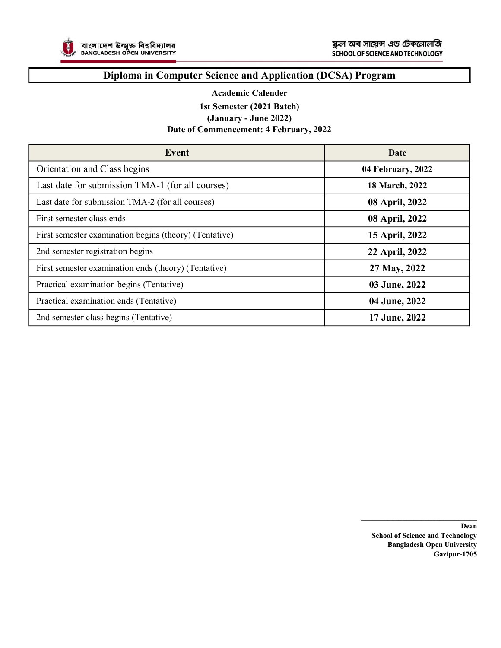

### Diploma in Computer Science and Application (DCSA) Program

#### Academic Calender

1st Semester (2021 Batch)

(January - June 2022)

#### Date of Commencement: 4 February, 2022

| Event                                                  | Date              |
|--------------------------------------------------------|-------------------|
| Orientation and Class begins                           | 04 February, 2022 |
| Last date for submission TMA-1 (for all courses)       | 18 March, 2022    |
| Last date for submission TMA-2 (for all courses)       | 08 April, 2022    |
| First semester class ends                              | 08 April, 2022    |
| First semester examination begins (theory) (Tentative) | 15 April, 2022    |
| 2nd semester registration begins                       | 22 April, 2022    |
| First semester examination ends (theory) (Tentative)   | 27 May, 2022      |
| Practical examination begins (Tentative)               | 03 June, 2022     |
| Practical examination ends (Tentative)                 | 04 June, 2022     |
| 2nd semester class begins (Tentative)                  | 17 June, 2022     |

Dean School of Science and Technology Bangladesh Open University Gazipur-1705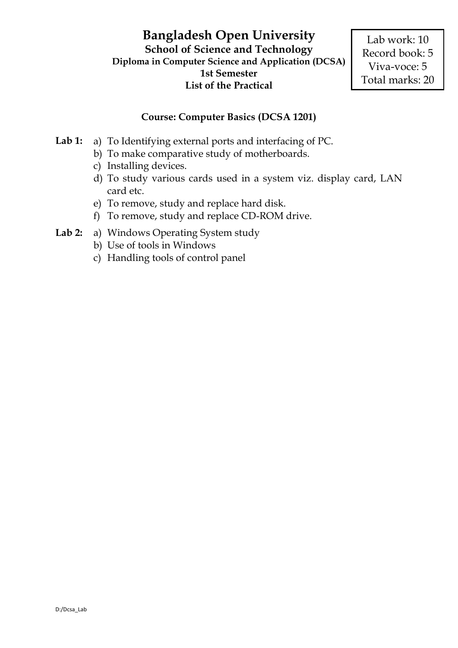# **Course: Computer Basics (DCSA 1201)**

- **Lab 1:** a) To Identifying external ports and interfacing of PC.
	- b) To make comparative study of motherboards.
	- c) Installing devices.
	- d) To study various cards used in a system viz. display card, LAN card etc.
	- e) To remove, study and replace hard disk.
	- f) To remove, study and replace CD-ROM drive.
- **Lab 2:** a) Windows Operating System study
	- b) Use of tools in Windows
	- c) Handling tools of control panel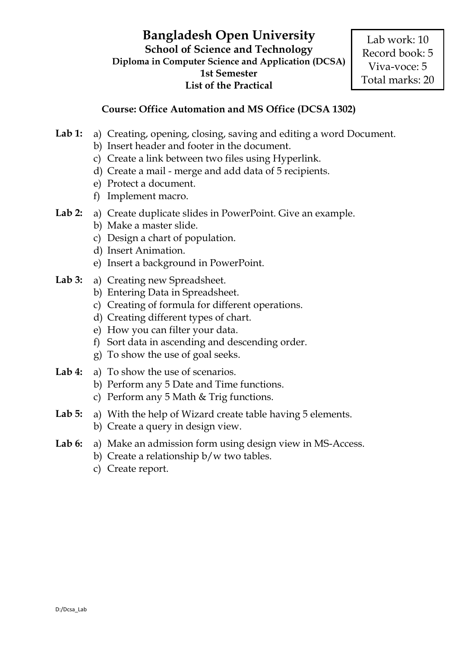# **Course: Office Automation and MS Office (DCSA 1302)**

- Lab 1: a) Creating, opening, closing, saving and editing a word Document.
	- b) Insert header and footer in the document.
	- c) Create a link between two files using Hyperlink.
	- d) Create a mail merge and add data of 5 recipients.
	- e) Protect a document.
	- f) Implement macro.
- **Lab 2:** a) Create duplicate slides in PowerPoint. Give an example.
	- b) Make a master slide.
	- c) Design a chart of population.
	- d) Insert Animation.
	- e) Insert a background in PowerPoint.
- Lab 3: a) Creating new Spreadsheet.
	- b) Entering Data in Spreadsheet.
	- c) Creating of formula for different operations.
	- d) Creating different types of chart.
	- e) How you can filter your data.
	- f) Sort data in ascending and descending order.
	- g) To show the use of goal seeks.
- Lab 4: a) To show the use of scenarios.
	- b) Perform any 5 Date and Time functions.
	- c) Perform any 5 Math & Trig functions.
- Lab 5: a) With the help of Wizard create table having 5 elements. b) Create a query in design view.
- **Lab 6:** a) Make an admission form using design view in MS-Access.
	- b) Create a relationship b/w two tables.
	- c) Create report.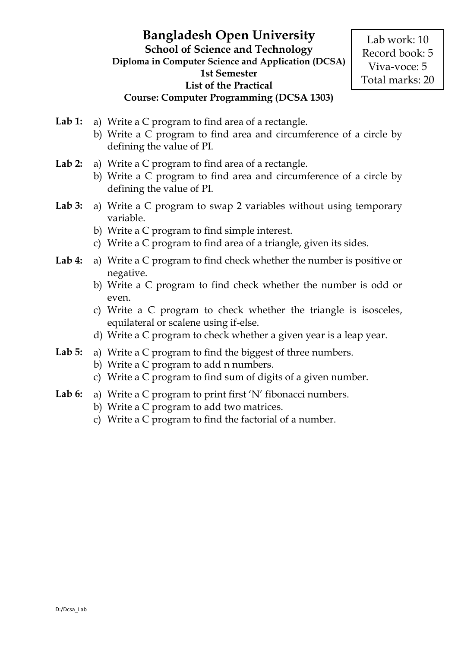- Lab 1: a) Write a C program to find area of a rectangle.
	- b) Write a C program to find area and circumference of a circle by defining the value of PI.
- **Lab 2:** a) Write a C program to find area of a rectangle.
	- b) Write a C program to find area and circumference of a circle by defining the value of PI.
- **Lab 3:** a) Write a C program to swap 2 variables without using temporary variable.
	- b) Write a C program to find simple interest.
	- c) Write a C program to find area of a triangle, given its sides.
- **Lab 4:** a) Write a C program to find check whether the number is positive or negative.
	- b) Write a C program to find check whether the number is odd or even.
	- c) Write a C program to check whether the triangle is isosceles, equilateral or scalene using if-else.
	- d) Write a C program to check whether a given year is a leap year.
- **Lab 5:** a) Write a C program to find the biggest of three numbers.
	- b) Write a C program to add n numbers.
	- c) Write a C program to find sum of digits of a given number.
- Lab 6: a) Write a C program to print first 'N' fibonacci numbers.
	- b) Write a C program to add two matrices.
	- c) Write a C program to find the factorial of a number.